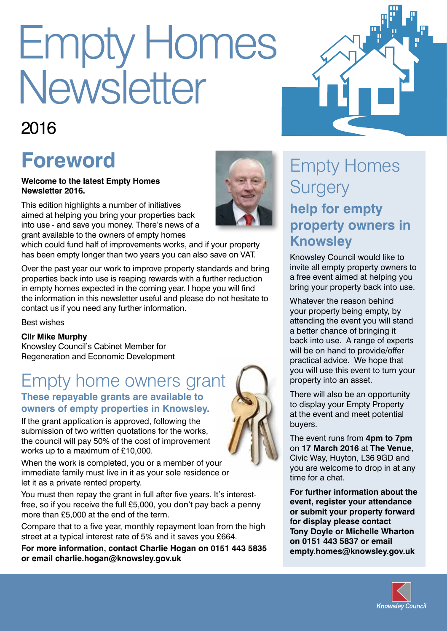# Empty Homes Newsletter

### 2016

## **Foreword**

**Welcome to the latest Empty Homes Newsletter 2016.** 

This edition highlights a number of initiatives aimed at helping you bring your properties back into use - and save you money. There's news of a grant available to the owners of empty homes

which could fund half of improvements works, and if your property has been empty longer than two years you can also save on VAT.

Over the past year our work to improve property standards and bring properties back into use is reaping rewards with a further reduction in empty homes expected in the coming year. I hope you will find the information in this newsletter useful and please do not hesitate to contact us if you need any further information.

Best wishes

#### **Cllr Mike Murphy**

Knowsley Council's Cabinet Member for Regeneration and Economic Development

#### Empty home owners grant **These repayable grants are available to owners of empty properties in Knowsley.**

If the grant application is approved, following the submission of two written quotations for the works, the council will pay 50% of the cost of improvement works up to a maximum of £10,000.

When the work is completed, you or a member of your immediate family must live in it as your sole residence or let it as a private rented property.

You must then repay the grant in full after five years. It's interestfree, so if you receive the full £5,000, you don't pay back a penny more than £5,000 at the end of the term.

Compare that to a five year, monthly repayment loan from the high street at a typical interest rate of 5% and it saves you £664.

**For more information, contact Charlie Hogan on 0151 443 5835 or email charlie.hogan@knowsley.gov.uk** 



Knowsley Council would like to invite all empty property owners to a free event aimed at helping you bring your property back into use.

Whatever the reason behind your property being empty, by attending the event you will stand a better chance of bringing it back into use. A range of experts will be on hand to provide/offer practical advice. We hope that you will use this event to turn your property into an asset.

There will also be an opportunity to display your Empty Property at the event and meet potential buyers.

The event runs from **4pm to 7pm** on **17 March 2016** at **The Venue**, Civic Way, Huyton, L36 9GD and you are welcome to drop in at any time for a chat.

**For further information about the event, register your attendance or submit your property forward for display please contact Tony Doyle or Michelle Wharton on 0151 443 5837 or email empty.homes@knowsley.gov.uk**







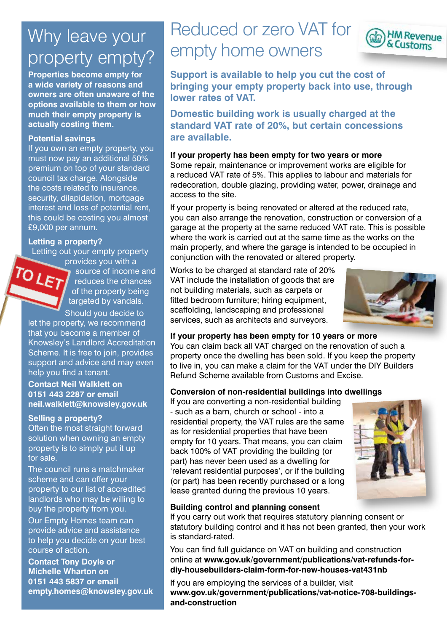## Why leave your property empty?

**Properties become empty for a wide variety of reasons and owners are often unaware of the options available to them or how much their empty property is actually costing them.** 

#### **Potential savings**

If you own an empty property, you must now pay an additional 50% premium on top of your standard council tax charge. Alongside the costs related to insurance, security, dilapidation, mortgage interest and loss of potential rent, this could be costing you almost £9,000 per annum.

#### **Letting a property?**

Letting out your empty property

provides you with a TOLET source of income and reduces the chances of the property being targeted by vandals. Should you decide to

let the property, we recommend that you become a member of Knowsley's Landlord Accreditation Scheme. It is free to join, provides support and advice and may even help you find a tenant.

**Contact Neil Walklett on 0151 443 2287 or email neil.walklett@knowsley.gov.uk** 

#### **Selling a property?**

Often the most straight forward solution when owning an empty property is to simply put it up for sale.

The council runs a matchmaker scheme and can offer your property to our list of accredited landlords who may be willing to buy the property from you.

Our Empty Homes team can provide advice and assistance to help you decide on your best course of action.

**Contact Tony Doyle or Michelle Wharton on 0151 443 5837 or email empty.homes@knowsley.gov.uk**

## Reduced or zero VAT for empty home owners



**Domestic building work is usually charged at the standard VAT rate of 20%, but certain concessions are available.**

#### **If your property has been empty for two years or more**

Some repair, maintenance or improvement works are eligible for a reduced VAT rate of 5%. This applies to labour and materials for redecoration, double glazing, providing water, power, drainage and access to the site.

If your property is being renovated or altered at the reduced rate, you can also arrange the renovation, construction or conversion of a garage at the property at the same reduced VAT rate. This is possible where the work is carried out at the same time as the works on the main property, and where the garage is intended to be occupied in conjunction with the renovated or altered property.

Works to be charged at standard rate of 20% VAT include the installation of goods that are not building materials, such as carpets or fitted bedroom furniture; hiring equipment, scaffolding, landscaping and professional services, such as architects and surveyors.



#### **If your property has been empty for 10 years or more**

You can claim back all VAT charged on the renovation of such a property once the dwelling has been sold. If you keep the property to live in, you can make a claim for the VAT under the DIY Builders Refund Scheme available from Customs and Excise.

#### **Conversion of non-residential buildings into dwellings**

If you are converting a non-residential building - such as a barn, church or school - into a residential property, the VAT rules are the same as for residential properties that have been empty for 10 years. That means, you can claim back 100% of VAT providing the building (or part) has never been used as a dwelling for 'relevant residential purposes', or if the building (or part) has been recently purchased or a long lease granted during the previous 10 years.



#### **Building control and planning consent**

If you carry out work that requires statutory planning consent or statutory building control and it has not been granted, then your work is standard-rated.

You can find full guidance on VAT on building and construction online at **www.gov.uk/government/publications/vat-refunds-fordiy-housebuilders-claim-form-for-new-houses-vat431nb**

If you are employing the services of a builder, visit **www.gov.uk/government/publications/vat-notice-708-buildingsand-construction**

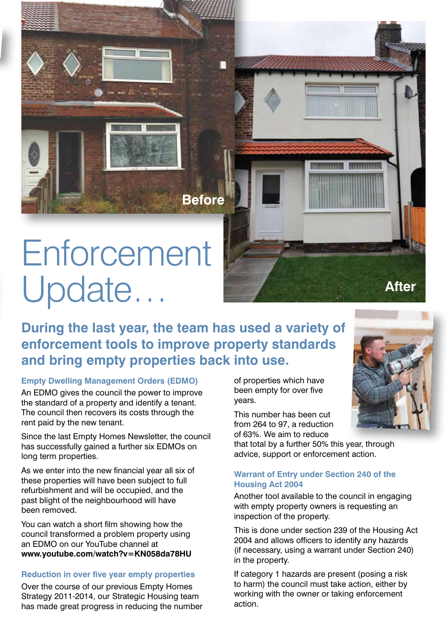## **Enforcement** Update…

**During the last year, the team has used a variety of enforcement tools to improve property standards and bring empty properties back into use.** 

**Before**

#### **Empty Dwelling Management Orders (EDMO)**

An EDMO gives the council the power to improve the standard of a property and identify a tenant. The council then recovers its costs through the rent paid by the new tenant.

Since the last Empty Homes Newsletter, the council has successfully gained a further six EDMOs on long term properties.

As we enter into the new financial year all six of these properties will have been subject to full refurbishment and will be occupied, and the past blight of the neighbourhood will have been removed.

You can watch a short film showing how the council transformed a problem property using an EDMO on our YouTube channel at **www.youtube.com/watch?v=KN058da78HU**

#### **Reduction in over five year empty properties**

Over the course of our previous Empty Homes Strategy 2011-2014, our Strategic Housing team has made great progress in reducing the number of properties which have been empty for over five years.

This number has been cut from 264 to 97, a reduction of 63%. We aim to reduce

that total by a further 50% this year, through advice, support or enforcement action.

#### **Warrant of Entry under Section 240 of the Housing Act 2004**

Another tool available to the council in engaging with empty property owners is requesting an inspection of the property.

This is done under section 239 of the Housing Act 2004 and allows officers to identify any hazards (if necessary, using a warrant under Section 240) in the property.

If category 1 hazards are present (posing a risk to harm) the council must take action, either by working with the owner or taking enforcement action.



**After**